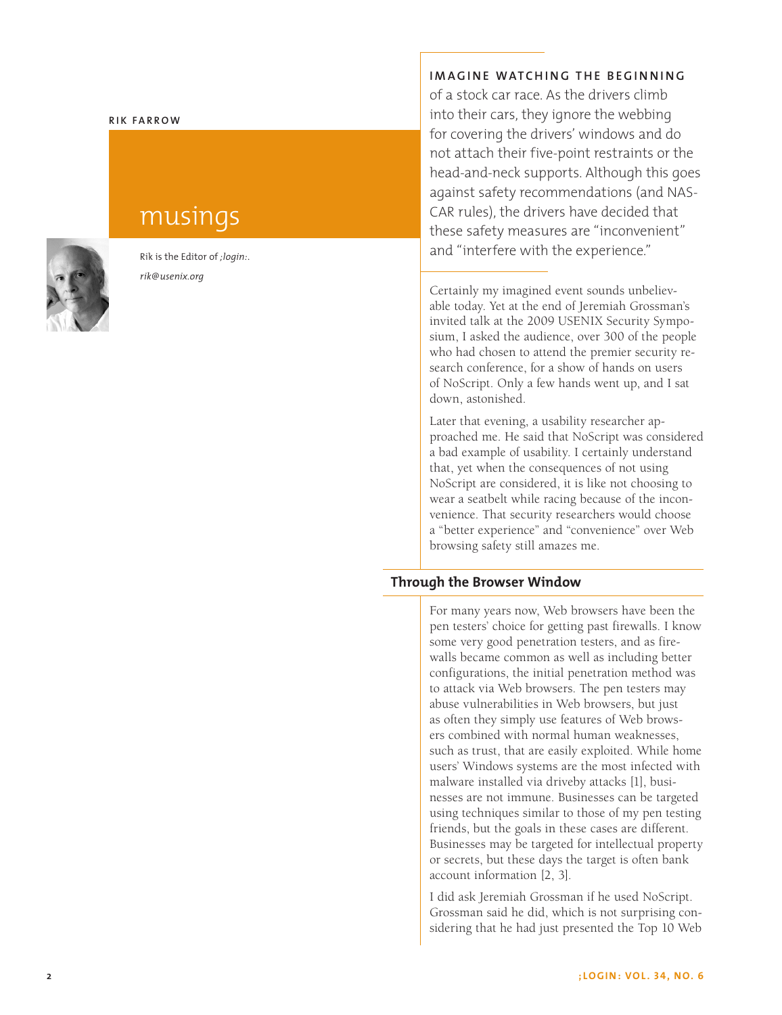#### **Rik Fa rr o w**

# musings

Rik is the Editor of *;login:* . *rik@usenix.org*

#### **Imag i ne watch i ng the beg i n n i n g**

of a stock car race. As the drivers climb into their cars, they ignore the webbing for covering the drivers' windows and do not attach their five-point restraints or the head-and-neck supports. Although this goes against safety recommendations (and NAS -CAR rules), the drivers have decided that these safety measures are "inconvenient" and "interfere with the experience."

Certainly my imagined event sounds unbeliev able today. Yet at the end of Jeremiah Grossman's invited talk at the 2009 USENIX Security Sympo sium, I asked the audience, over 300 of the people who had chosen to attend the premier security re search conference, for a show of hands on users of NoScript. Only a few hands went up, and I sat down, astonished.

Later that evening, a usability researcher ap proached me. He said that NoScript was considered a bad example of usability. I certainly understand that, yet when the consequences of not using NoScript are considered, it is like not choosing to wear a seatbelt while racing because of the incon venience. That security researchers would choose a "better experience" and "convenience" over Web browsing safety still amazes me.

# **Through the Browser Window**

For many years now, Web browsers have been the pen testers' choice for getting past firewalls. I know some very good penetration testers, and as fire walls became common as well as including better configurations, the initial penetration method was to attack via Web browsers. The pen testers may abuse vulnerabilities in Web browsers, but just as often they simply use features of Web brows ers combined with normal human weaknesses, such as trust, that are easily exploited. While home users' Windows systems are the most infected with malware installed via driveby attacks [1], busi nesses are not immune. Businesses can be targeted using techniques similar to those of my pen testing friends, but the goals in these cases are different. Businesses may be targeted for intellectual property or secrets, but these days the target is often bank account information [2, 3].

I did ask Jeremiah Grossman if he used NoScript. Grossman said he did, which is not surprising con sidering that he had just presented the Top 10 Web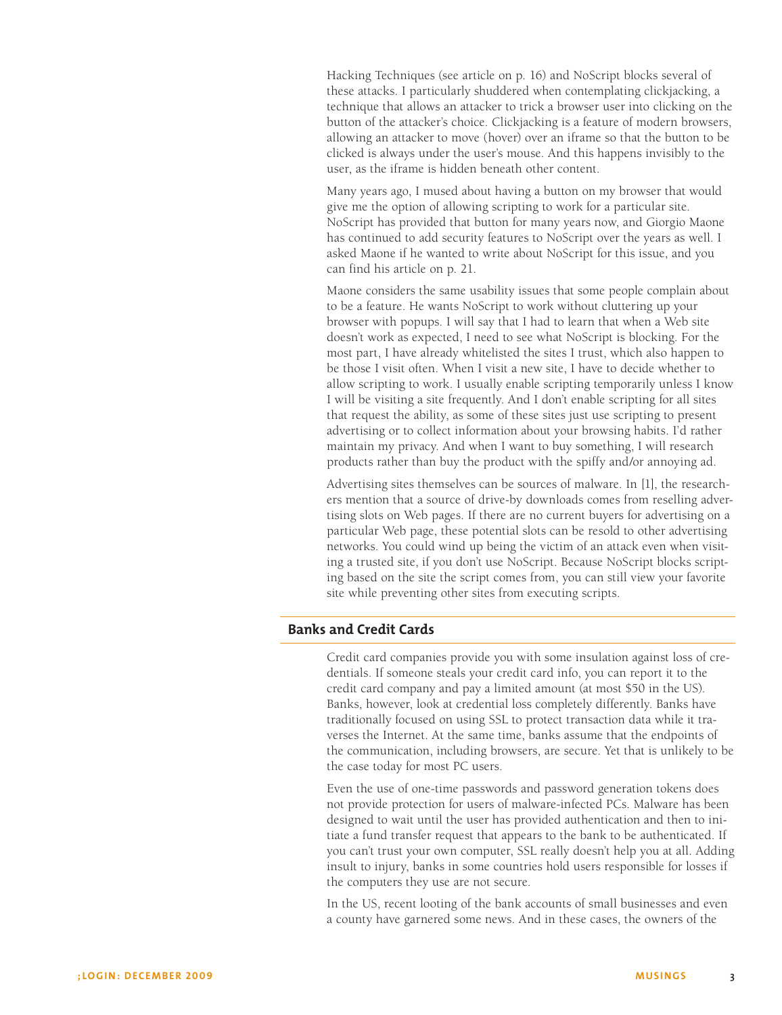Hacking Techniques (see article on p. 16) and NoScript blocks several of these attacks. I particularly shuddered when contemplating clickjacking, a technique that allows an attacker to trick a browser user into clicking on the button of the attacker's choice. Clickjacking is a feature of modern browsers, allowing an attacker to move (hover) over an iframe so that the button to be clicked is always under the user's mouse. And this happens invisibly to the user, as the iframe is hidden beneath other content.

Many years ago, I mused about having a button on my browser that would give me the option of allowing scripting to work for a particular site. NoScript has provided that button for many years now, and Giorgio Maone has continued to add security features to NoScript over the years as well. I asked Maone if he wanted to write about NoScript for this issue, and you can find his article on p. 21.

Maone considers the same usability issues that some people complain about to be a feature. He wants NoScript to work without cluttering up your browser with popups. I will say that I had to learn that when a Web site doesn't work as expected, I need to see what NoScript is blocking. For the most part, I have already whitelisted the sites I trust, which also happen to be those I visit often. When I visit a new site, I have to decide whether to allow scripting to work. I usually enable scripting temporarily unless I know I will be visiting a site frequently. And I don't enable scripting for all sites that request the ability, as some of these sites just use scripting to present advertising or to collect information about your browsing habits. I'd rather maintain my privacy. And when I want to buy something, I will research products rather than buy the product with the spiffy and/or annoying ad.

Advertising sites themselves can be sources of malware. In [1], the researchers mention that a source of drive-by downloads comes from reselling advertising slots on Web pages. If there are no current buyers for advertising on a particular Web page, these potential slots can be resold to other advertising networks. You could wind up being the victim of an attack even when visiting a trusted site, if you don't use NoScript. Because NoScript blocks scripting based on the site the script comes from, you can still view your favorite site while preventing other sites from executing scripts.

## **Banks and Credit Cards**

Credit card companies provide you with some insulation against loss of credentials. If someone steals your credit card info, you can report it to the credit card company and pay a limited amount (at most \$50 in the US). Banks, however, look at credential loss completely differently. Banks have traditionally focused on using SSL to protect transaction data while it traverses the Internet. At the same time, banks assume that the endpoints of the communication, including browsers, are secure. Yet that is unlikely to be the case today for most PC users.

Even the use of one-time passwords and password generation tokens does not provide protection for users of malware-infected PCs. Malware has been designed to wait until the user has provided authentication and then to initiate a fund transfer request that appears to the bank to be authenticated. If you can't trust your own computer, SSL really doesn't help you at all. Adding insult to injury, banks in some countries hold users responsible for losses if the computers they use are not secure.

In the US, recent looting of the bank accounts of small businesses and even a county have garnered some news. And in these cases, the owners of the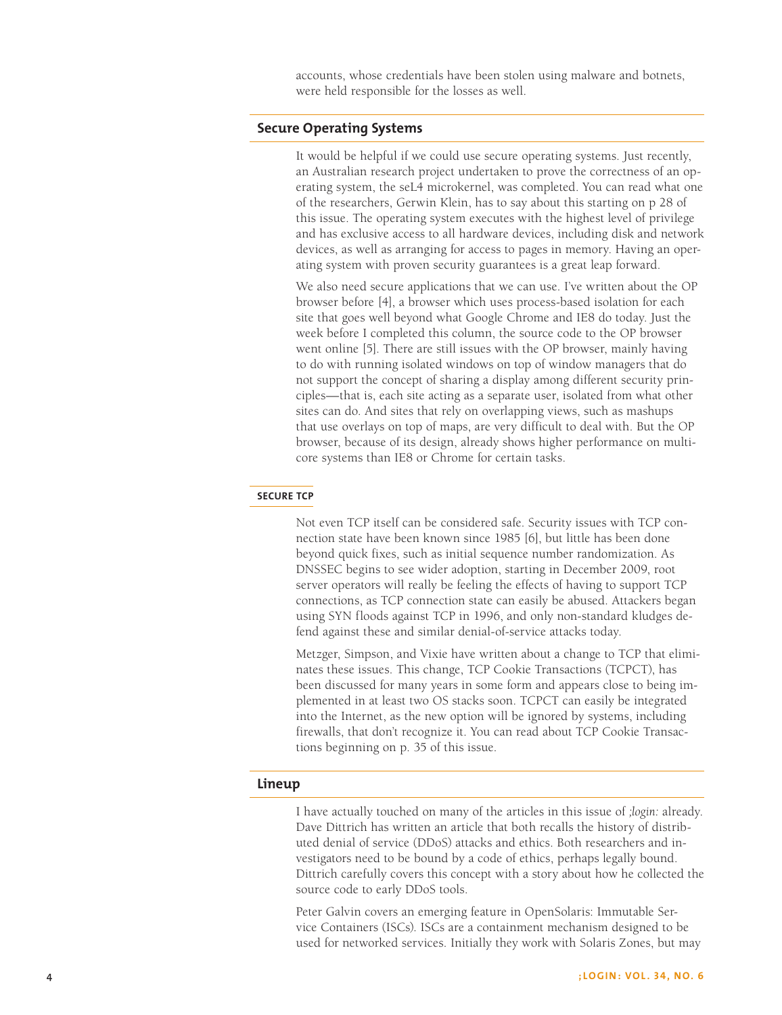accounts, whose credentials have been stolen using malware and botnets, were held responsible for the losses as well.

#### **Secure Operating Systems**

It would be helpful if we could use secure operating systems. Just recently, an Australian research project undertaken to prove the correctness of an operating system, the seL4 microkernel, was completed. You can read what one of the researchers, Gerwin Klein, has to say about this starting on p 28 of this issue. The operating system executes with the highest level of privilege and has exclusive access to all hardware devices, including disk and network devices, as well as arranging for access to pages in memory. Having an operating system with proven security guarantees is a great leap forward.

We also need secure applications that we can use. I've written about the OP browser before [4], a browser which uses process-based isolation for each site that goes well beyond what Google Chrome and IE8 do today. Just the week before I completed this column, the source code to the OP browser went online [5]. There are still issues with the OP browser, mainly having to do with running isolated windows on top of window managers that do not support the concept of sharing a display among different security principles—that is, each site acting as a separate user, isolated from what other sites can do. And sites that rely on overlapping views, such as mashups that use overlays on top of maps, are very difficult to deal with. But the OP browser, because of its design, already shows higher performance on multicore systems than IE8 or Chrome for certain tasks.

## **Secure TCP**

Not even TCP itself can be considered safe. Security issues with TCP connection state have been known since 1985 [6], but little has been done beyond quick fixes, such as initial sequence number randomization. As DNSSEC begins to see wider adoption, starting in December 2009, root server operators will really be feeling the effects of having to support TCP connections, as TCP connection state can easily be abused. Attackers began using SYN floods against TCP in 1996, and only non-standard kludges defend against these and similar denial-of-service attacks today.

Metzger, Simpson, and Vixie have written about a change to TCP that eliminates these issues. This change, TCP Cookie Transactions (TCPCT), has been discussed for many years in some form and appears close to being implemented in at least two OS stacks soon. TCPCT can easily be integrated into the Internet, as the new option will be ignored by systems, including firewalls, that don't recognize it. You can read about TCP Cookie Transactions beginning on p. 35 of this issue.

#### **Lineup**

I have actually touched on many of the articles in this issue of *;login:* already. Dave Dittrich has written an article that both recalls the history of distributed denial of service (DDoS) attacks and ethics. Both researchers and investigators need to be bound by a code of ethics, perhaps legally bound. Dittrich carefully covers this concept with a story about how he collected the source code to early DDoS tools.

Peter Galvin covers an emerging feature in OpenSolaris: Immutable Service Containers (ISCs). ISCs are a containment mechanism designed to be used for networked services. Initially they work with Solaris Zones, but may